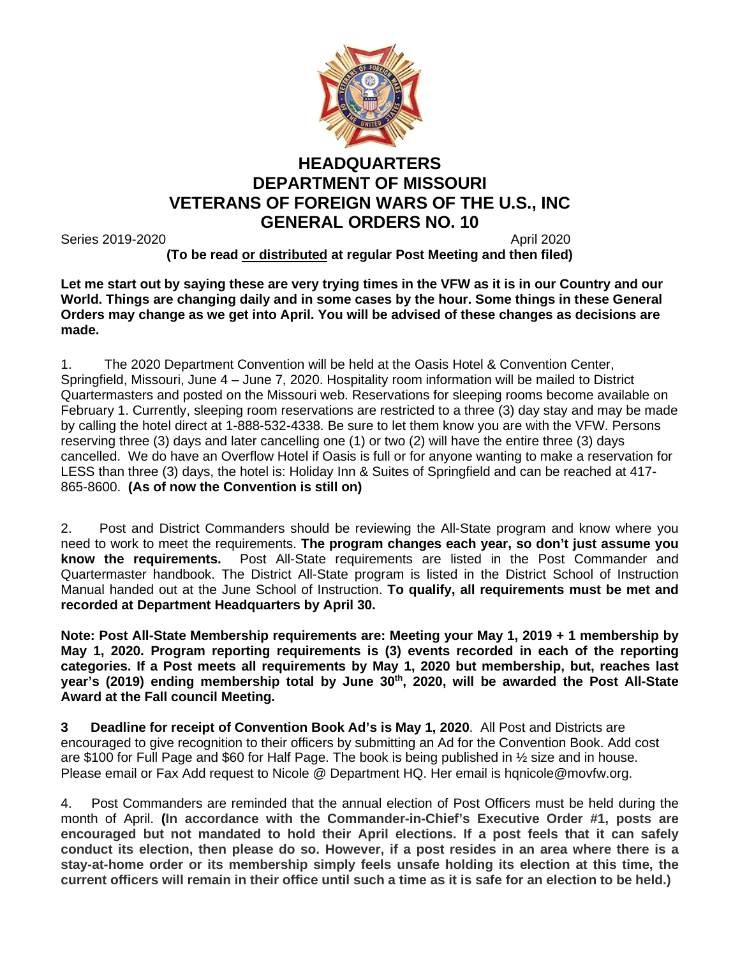

## **HEADQUARTERS DEPARTMENT OF MISSOURI VETERANS OF FOREIGN WARS OF THE U.S., INC GENERAL ORDERS NO. 10**

Series 2019-2020 **April 2020 April 2020 April 2020** 

**(To be read or distributed at regular Post Meeting and then filed)**

**Let me start out by saying these are very trying times in the VFW as it is in our Country and our World. Things are changing daily and in some cases by the hour. Some things in these General Orders may change as we get into April. You will be advised of these changes as decisions are made.** 

1. The 2020 Department Convention will be held at the Oasis Hotel & Convention Center, Springfield, Missouri, June 4 – June 7, 2020. Hospitality room information will be mailed to District Quartermasters and posted on the Missouri web. Reservations for sleeping rooms become available on February 1. Currently, sleeping room reservations are restricted to a three (3) day stay and may be made by calling the hotel direct at 1-888-532-4338. Be sure to let them know you are with the VFW. Persons reserving three (3) days and later cancelling one (1) or two (2) will have the entire three (3) days cancelled. We do have an Overflow Hotel if Oasis is full or for anyone wanting to make a reservation for LESS than three (3) days, the hotel is: Holiday Inn & Suites of Springfield and can be reached at 417- 865-8600. **(As of now the Convention is still on)**

2. Post and District Commanders should be reviewing the All-State program and know where you need to work to meet the requirements. **The program changes each year, so don't just assume you know the requirements.** Post All-State requirements are listed in the Post Commander and Quartermaster handbook. The District All-State program is listed in the District School of Instruction Manual handed out at the June School of Instruction. **To qualify, all requirements must be met and recorded at Department Headquarters by April 30.**

**Note: Post All-State Membership requirements are: Meeting your May 1, 2019 + 1 membership by May 1, 2020. Program reporting requirements is (3) events recorded in each of the reporting categories. If a Post meets all requirements by May 1, 2020 but membership, but, reaches last**  year's (2019) ending membership total by June 30<sup>th</sup>, 2020, will be awarded the Post All-State **Award at the Fall council Meeting.**

**3 Deadline for receipt of Convention Book Ad's is May 1, 2020**. All Post and Districts are encouraged to give recognition to their officers by submitting an Ad for the Convention Book. Add cost are \$100 for Full Page and \$60 for Half Page. The book is being published in ½ size and in house. Please email or Fax Add request to Nicole @ Department HQ. Her email is hqnicole@movfw.org.

4. Post Commanders are reminded that the annual election of Post Officers must be held during the month of April. **(In accordance with the Commander-in-Chief's Executive Order #1, posts are encouraged but not mandated to hold their April elections. If a post feels that it can safely conduct its election, then please do so. However, if a post resides in an area where there is a stay-at-home order or its membership simply feels unsafe holding its election at this time, the current officers will remain in their office until such a time as it is safe for an election to be held.)**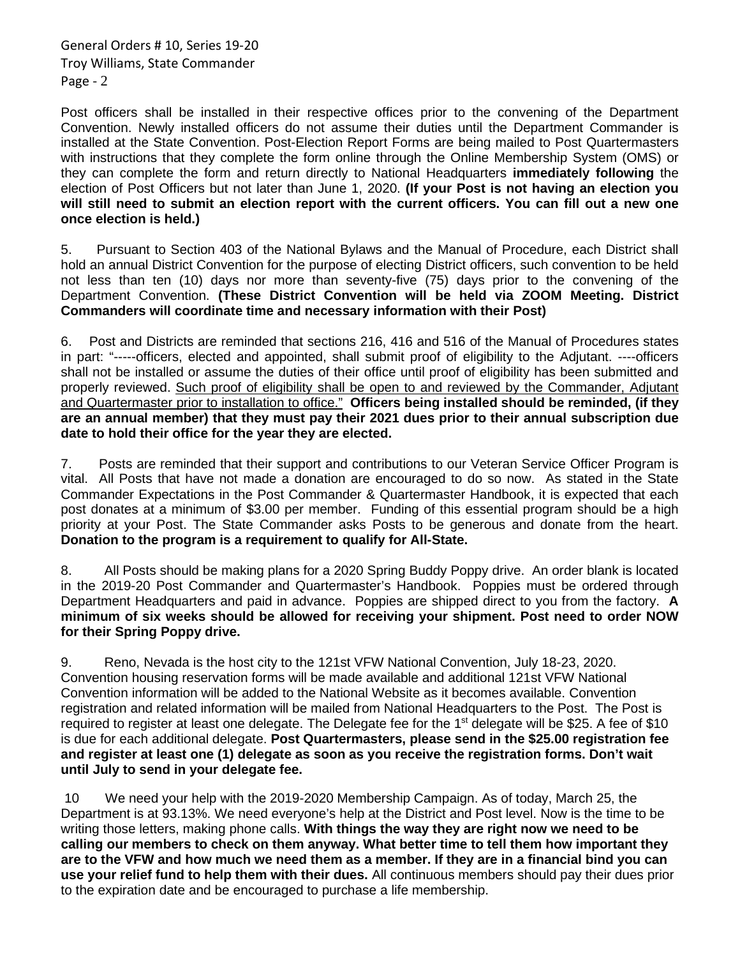General Orders # 10, Series 19-20 Troy Williams, State Commander Page - 2

Post officers shall be installed in their respective offices prior to the convening of the Department Convention. Newly installed officers do not assume their duties until the Department Commander is installed at the State Convention. Post-Election Report Forms are being mailed to Post Quartermasters with instructions that they complete the form online through the Online Membership System (OMS) or they can complete the form and return directly to National Headquarters **immediately following** the election of Post Officers but not later than June 1, 2020. **(If your Post is not having an election you will still need to submit an election report with the current officers. You can fill out a new one once election is held.)**

5. Pursuant to Section 403 of the National Bylaws and the Manual of Procedure, each District shall hold an annual District Convention for the purpose of electing District officers, such convention to be held not less than ten (10) days nor more than seventy-five (75) days prior to the convening of the Department Convention. **(These District Convention will be held via ZOOM Meeting. District Commanders will coordinate time and necessary information with their Post)**

6. Post and Districts are reminded that sections 216, 416 and 516 of the Manual of Procedures states in part: "-----officers, elected and appointed, shall submit proof of eligibility to the Adjutant. ----officers shall not be installed or assume the duties of their office until proof of eligibility has been submitted and properly reviewed. Such proof of eligibility shall be open to and reviewed by the Commander, Adjutant and Quartermaster prior to installation to office." **Officers being installed should be reminded, (if they are an annual member) that they must pay their 2021 dues prior to their annual subscription due date to hold their office for the year they are elected.**

7. Posts are reminded that their support and contributions to our Veteran Service Officer Program is vital. All Posts that have not made a donation are encouraged to do so now. As stated in the State Commander Expectations in the Post Commander & Quartermaster Handbook, it is expected that each post donates at a minimum of \$3.00 per member. Funding of this essential program should be a high priority at your Post. The State Commander asks Posts to be generous and donate from the heart. **Donation to the program is a requirement to qualify for All-State.**

8. All Posts should be making plans for a 2020 Spring Buddy Poppy drive. An order blank is located in the 2019-20 Post Commander and Quartermaster's Handbook. Poppies must be ordered through Department Headquarters and paid in advance. Poppies are shipped direct to you from the factory. **A minimum of six weeks should be allowed for receiving your shipment. Post need to order NOW for their Spring Poppy drive.**

9. Reno, Nevada is the host city to the 121st VFW National Convention, July 18-23, 2020. Convention housing reservation forms will be made available and additional 121st VFW National Convention information will be added to the National Website as it becomes available. Convention registration and related information will be mailed from National Headquarters to the Post. The Post is required to register at least one delegate. The Delegate fee for the 1<sup>st</sup> delegate will be \$25. A fee of \$10 is due for each additional delegate. **Post Quartermasters, please send in the \$25.00 registration fee and register at least one (1) delegate as soon as you receive the registration forms. Don't wait until July to send in your delegate fee.**

10 We need your help with the 2019-2020 Membership Campaign. As of today, March 25, the Department is at 93.13%. We need everyone's help at the District and Post level. Now is the time to be writing those letters, making phone calls. **With things the way they are right now we need to be calling our members to check on them anyway. What better time to tell them how important they are to the VFW and how much we need them as a member. If they are in a financial bind you can use your relief fund to help them with their dues.** All continuous members should pay their dues prior to the expiration date and be encouraged to purchase a life membership.